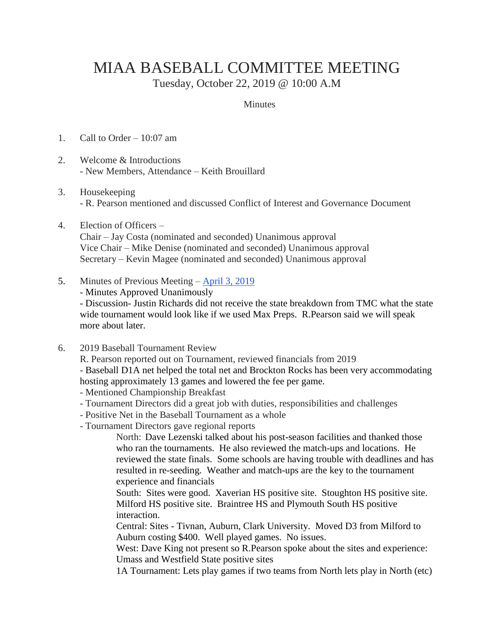## MIAA BASEBALL COMMITTEE MEETING

Tuesday, October 22, 2019 @ 10:00 A.M

## **Minutes**

- 1. Call to Order 10:07 am
- 2. Welcome & Introductions - New Members, Attendance – Keith Brouillard
- 3. Housekeeping - R. Pearson mentioned and discussed Conflict of Interest and Governance Document
- 4. Election of Officers –

Chair – Jay Costa (nominated and seconded) Unanimous approval Vice Chair – Mike Denise (nominated and seconded) Unanimous approval Secretary – Kevin Magee (nominated and seconded) Unanimous approval

- 5. Minutes of Previous Meeting [April 3, 2019](http://miaa.net/gen/miaa_generated_bin/documents/basic_module/Meeting_Minutes_040319.pdf)
	- Minutes Approved Unanimously

- Discussion- Justin Richards did not receive the state breakdown from TMC what the state wide tournament would look like if we used Max Preps. R.Pearson said we will speak more about later.

6. 2019 Baseball Tournament Review

R. Pearson reported out on Tournament, reviewed financials from 2019

- Baseball D1A net helped the total net and Brockton Rocks has been very accommodating hosting approximately 13 games and lowered the fee per game.

- Mentioned Championship Breakfast
- Tournament Directors did a great job with duties, responsibilities and challenges
- Positive Net in the Baseball Tournament as a whole
- Tournament Directors gave regional reports

North: Dave Lezenski talked about his post-season facilities and thanked those who ran the tournaments. He also reviewed the match-ups and locations. He reviewed the state finals. Some schools are having trouble with deadlines and has resulted in re-seeding. Weather and match-ups are the key to the tournament experience and financials

South: Sites were good. Xaverian HS positive site. Stoughton HS positive site. Milford HS positive site. Braintree HS and Plymouth South HS positive interaction.

Central: Sites - Tivnan, Auburn, Clark University. Moved D3 from Milford to Auburn costing \$400. Well played games. No issues.

West: Dave King not present so R.Pearson spoke about the sites and experience: Umass and Westfield State positive sites

1A Tournament: Lets play games if two teams from North lets play in North (etc)